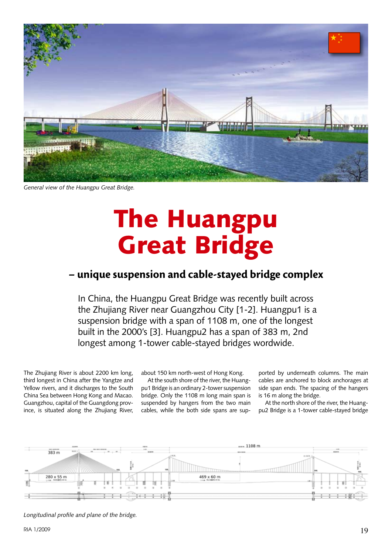

*General view of the Huangpu Great Bridge.*

# The Huangpu Great Bridge

## – unique suspension and cable-stayed bridge complex

In China, the Huangpu Great Bridge was recently built across the Zhujiang River near Guangzhou City [1-2]. Huangpu1 is a suspension bridge with a span of 1108 m, one of the longest built in the 2000's [3]. Huangpu2 has a span of 383 m, 2nd longest among 1-tower cable-stayed bridges wordwide.

The Zhujiang River is about 2200 km long, third longest in China after the Yangtze and Yellow rivers, and it discharges to the South China Sea between Hong Kong and Macao. Guangzhou, capital of the Guangdong province, is situated along the Zhujiang River,

about 150 km north-west of Hong Kong.

At the south shore of the river, the Huangpu1 Bridge is an ordinary 2-tower suspension bridge. Only the 1108 m long main span is suspended by hangers from the two main cables, while the both side spans are supported by underneath columns. The main cables are anchored to block anchorages at side span ends. The spacing of the hangers is 16 m along the bridge.

At the north shore of the river, the Huangpu2 Bridge is a 1-tower cable-stayed bridge



*Longitudinal profile and plane of the bridge.*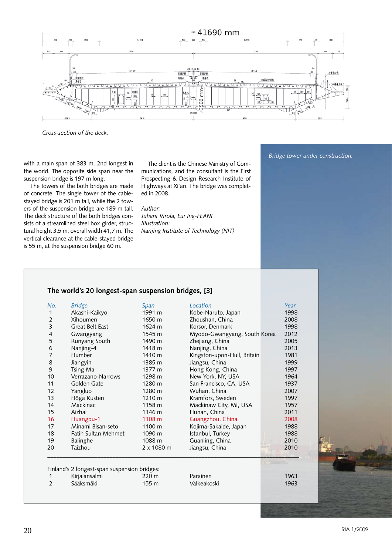

*Cross-section of the deck.*

with a main span of 383 m, 2nd longest in the world. The opposite side span near the suspension bridge is 197 m long.

The towers of the both bridges are made of concrete. The single tower of the cablestayed bridge is 201 m tall, while the 2 towers of the suspension bridge are 189 m tall. The deck structure of the both bridges consists of a streamlined steel box girder, structural height 3,5 m, overall width 41,7 m. The vertical clearance at the cable-stayed bridge is 55 m, at the suspension bridge 60 m.

The client is the Chinese Ministry of Communications, and the consultant is the First Prospecting & Design Research Institute of Highways at Xi'an. The bridge was completed in 2008.

*Author: Juhani Virola, Eur Ing-FEANI Illustration: Nanjing Institute of Technology (NIT)* *Bridge tower under construction.*

#### **The world's 20 longest-span suspension bridges, [3]**

| No.            | <b>Bridge</b>       | Span       | Location                     | Year |
|----------------|---------------------|------------|------------------------------|------|
| 1              | Akashi-Kaikyo       | 1991 m     | Kobe-Naruto, Japan           | 1998 |
| $\overline{2}$ | Xihoumen            | 1650 m     | Zhoushan, China              | 2008 |
| 3              | Great Belt East     | 1624 m     | Korsor, Denmark              | 1998 |
| $\overline{4}$ | Gwangyang           | 1545 m     | Myodo-Gwangyang, South Korea | 2012 |
| 5              | Runyang South       | 1490 m     | Zhejiang, China              | 2005 |
| 6              | Nanjing-4           | 1418 m     | Nanjing, China               | 2013 |
| 7              | Humber              | 1410 m     | Kingston-upon-Hull, Britain  | 1981 |
| 8              | Jiangyin            | 1385 m     | Jiangsu, China               | 1999 |
| 9              | Tsing Ma            | 1377 m     | Hong Kong, China             | 1997 |
| 10             | Verrazano-Narrows   | 1298 m     | New York, NY, USA            | 1964 |
| 11             | Golden Gate         | 1280 m     | San Francisco, CA, USA       | 1937 |
| 12             | Yangluo             | 1280 m     | Wuhan, China                 | 2007 |
| 13             | Höga Kusten         | 1210 m     | Kramfors, Sweden             | 1997 |
| 14             | Mackinac            | 1158 m     | Mackinaw City, MI, USA       | 1957 |
| 15             | Aizhai              | 1146 m     | Hunan, China                 | 2011 |
| 16             | Huangpu-1           | 1108 m     | Guangzhou, China             | 2008 |
| 17             | Minami Bisan-seto   | 1100 m     | Kojima-Sakaide, Japan        | 1988 |
| 18             | Fatih Sultan Mehmet | 1090 m     | Istanbul, Turkey             | 1988 |
| 19             | <b>Balinghe</b>     | 1088 m     | Guanling, China              | 2010 |
| 20             | Taizhou             | 2 x 1080 m | Jiangsu, China               | 2010 |

Finland's 2 longest-span suspension bridges:

- 1 Kirjalansalmi 220 m Parainen 1963
- 

Valkeakoski